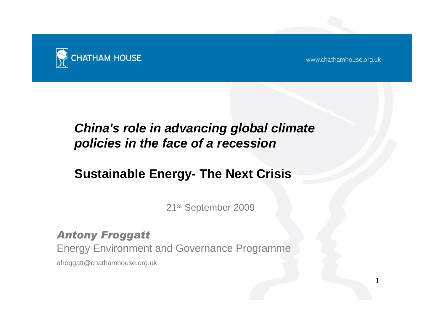

www.chathamhouse.org.uk

1

## *China's role in advancing global climate policies in the face of a recession*

### **Sustainable Energy- The Next Crisis?**

21st September 2009

### *Antony Froggatt*

Energy Environment and Governance Programme

afroggatt@chathamhouse.org.uk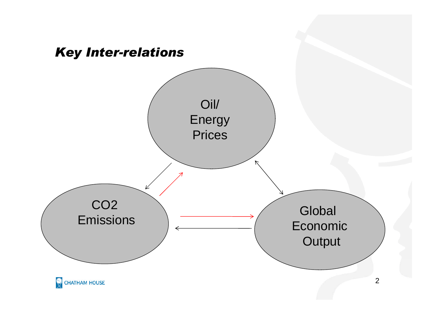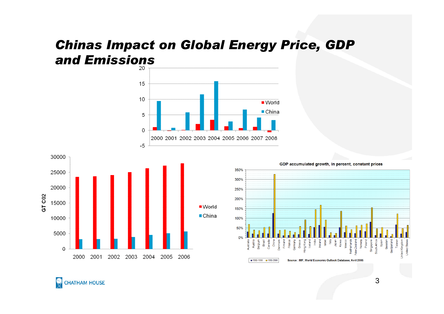# *Chinas Impact on Global Energy Price, GDP and Emissions*





350% 300% 250% 200% 150% 100% 50%  $0%$ Africa 亶 Poland 혿 **B** æ ed Kir Jnited ■ 1990-1998 ■ 1990-2006 Source : IMF, World Economic Outlook Database, Avril 2005

GDP accumulated growth, in percent, constant prices

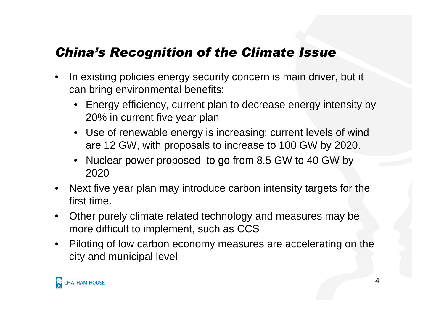### *China's Recognition of the Climate Issue*

- In existing policies energy security concern is main driver, but it can bring environmental benefits:
	- Energy efficiency, current plan to decrease energy intensity by 20% in current five year plan
	- Use of renewable energy is increasing: current levels of wind are 12 GW, with proposals to increase to 100 GW by 2020.
	- Nuclear power proposed to go from 8.5 GW to 40 GW by 2020
- Next five year plan may introduce carbon intensity targets for the first time.
- Other purely climate related technology and measures may be more difficult to implement, such as CCS
- Piloting of low carbon economy measures are accelerating on the city and municipal level

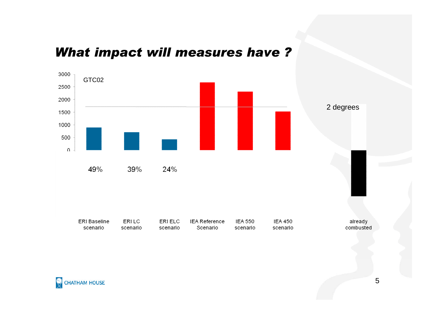### *What impact will measures have ?*



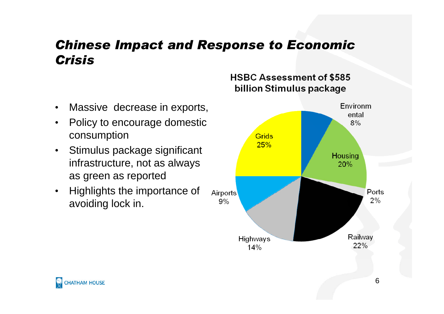### *Chinese Impact and Response to Economic Crisis*

- Massive decrease in exports,
- Policy to encourage domestic consumption
- Stimulus package significant infrastructure, not as always as green as reported
- Highlights the importance of Airports avoiding lock in.

#### **HSBC Assessment of \$585** billion Stimulus package

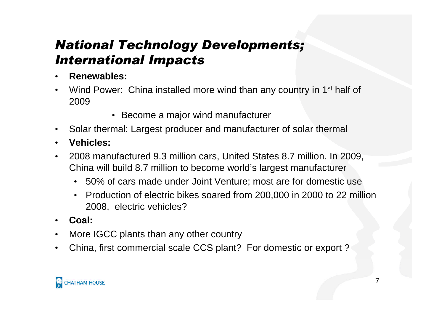## *National Technology Developments; International Impacts*

- **Renewables:**
- Wind Power: China installed more wind than any country in 1<sup>st</sup> half of 2009
	- Become a major wind manufacturer
- Solar thermal: Largest producer and manufacturer of solar thermal
- **Vehicles:**
- 2008 manufactured 9.3 million cars, United States 8.7 million. In 2009, China will build 8.7 million to become world's largest manufacturer
	- 50% of cars made under Joint Venture; most are for domestic use
	- Production of electric bikes soared from 200,000 in 2000 to 22 million 2008, electric vehicles?
- **Coal:**
- More IGCC plants than any other country
- China, first commercial scale CCS plant? For domestic or export ?